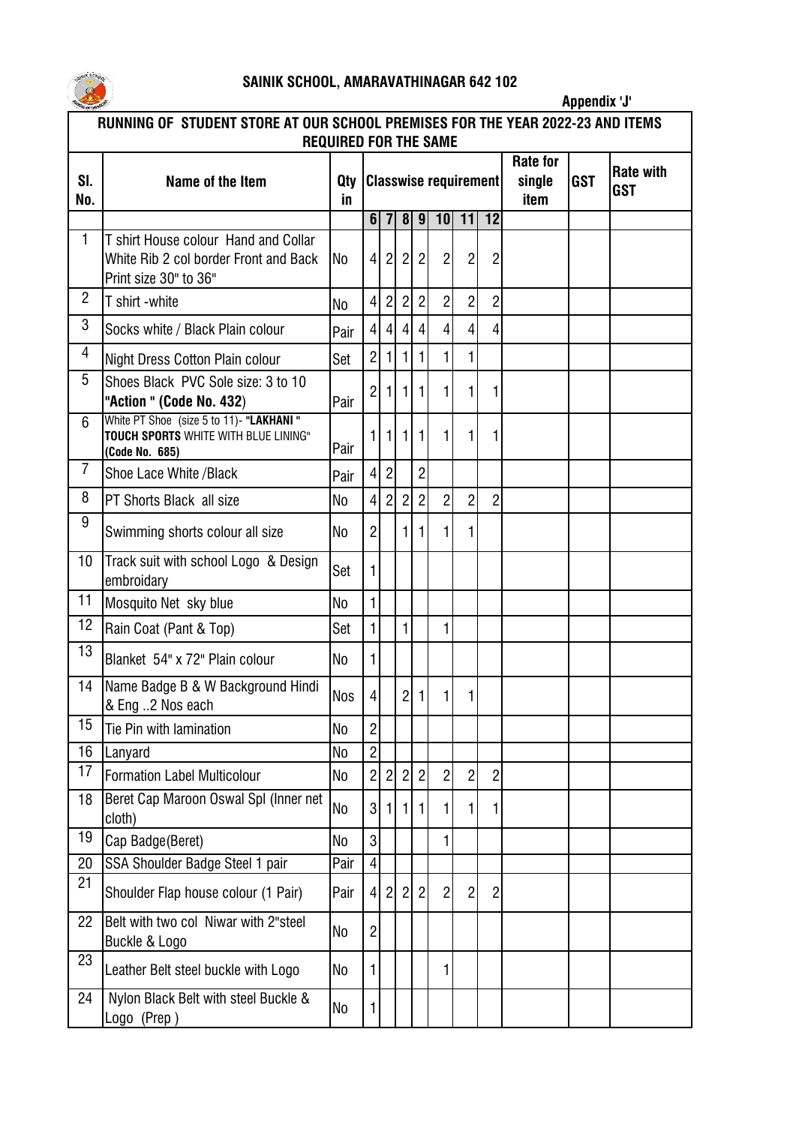

## **SAINIK SCHOOL, AMARAVATHINAGAR 642 102**

|                                                                                | Appendix 'J'                                                                                           |                |                              |                |                |                |                |                |                |        |            |                  |
|--------------------------------------------------------------------------------|--------------------------------------------------------------------------------------------------------|----------------|------------------------------|----------------|----------------|----------------|----------------|----------------|----------------|--------|------------|------------------|
| RUNNING OF STUDENT STORE AT OUR SCHOOL PREMISES FOR THE YEAR 2022-23 AND ITEMS |                                                                                                        |                |                              |                |                |                |                |                |                |        |            |                  |
| <b>REQUIRED FOR THE SAME</b><br><b>Rate for</b>                                |                                                                                                        |                |                              |                |                |                |                |                |                |        |            |                  |
| SI.                                                                            | Name of the Item                                                                                       | Qty            | <b>Classwise requirement</b> |                |                |                |                |                |                | single | <b>GST</b> | <b>Rate with</b> |
| No.                                                                            |                                                                                                        | in.            |                              |                |                |                |                |                |                | item   |            | <b>GST</b>       |
|                                                                                |                                                                                                        |                | 6 <sup>1</sup>               |                | 8 <sup>1</sup> | 9              |                | 10 11          | 12             |        |            |                  |
| 1                                                                              | T shirt House colour Hand and Collar<br>White Rib 2 col border Front and Back<br>Print size 30" to 36" | <b>No</b>      | 4                            | $\overline{2}$ | 2              | $\overline{2}$ | $\overline{2}$ | $\overline{c}$ | $\overline{c}$ |        |            |                  |
| $\overline{2}$                                                                 | T shirt -white                                                                                         | No             | 4                            | $\overline{2}$ | $\overline{2}$ | $\overline{2}$ | $\overline{2}$ | $\overline{2}$ | $\overline{2}$ |        |            |                  |
| 3                                                                              | Socks white / Black Plain colour                                                                       | Pair           | 4                            | 4              | 4              | 4              | $\overline{4}$ | $\overline{4}$ | 4              |        |            |                  |
| 4                                                                              | Night Dress Cotton Plain colour                                                                        | Set            | $\overline{2}$               |                |                |                | 1              | 1              |                |        |            |                  |
| 5                                                                              | Shoes Black PVC Sole size: 3 to 10<br>"Action " (Code No. 432)                                         | Pair           | $\overline{c}$               |                | 1              |                | 1              | 1              |                |        |            |                  |
| 6                                                                              | White PT Shoe (size 5 to 11)- "LAKHANI"<br>TOUCH SPORTS WHITE WITH BLUE LINING"<br>(Code No. 685)      | Pair           |                              |                |                |                | 1              |                |                |        |            |                  |
| 7                                                                              | Shoe Lace White / Black                                                                                | Pair           | $\vert 4 \vert$              | $\overline{2}$ |                | $\overline{2}$ |                |                |                |        |            |                  |
| 8                                                                              | PT Shorts Black all size                                                                               | No             | $\left 4\right $             | $\overline{2}$ | $\overline{2}$ | $\overline{2}$ | $\overline{2}$ | $\overline{2}$ | $\overline{2}$ |        |            |                  |
| 9                                                                              | Swimming shorts colour all size                                                                        | No             | $\overline{2}$               |                |                |                | 1              | 1              |                |        |            |                  |
| 10                                                                             | Track suit with school Logo & Design<br>embroidary                                                     | Set            |                              |                |                |                |                |                |                |        |            |                  |
| 11                                                                             | Mosquito Net sky blue                                                                                  | N <sub>o</sub> |                              |                |                |                |                |                |                |        |            |                  |
| 12                                                                             | Rain Coat (Pant & Top)                                                                                 | Set            |                              |                | 1              |                | 1              |                |                |        |            |                  |
| 13                                                                             | Blanket 54" x 72" Plain colour                                                                         | No             |                              |                |                |                |                |                |                |        |            |                  |
| 14                                                                             | Name Badge B & W Background Hindi<br>& Eng 2 Nos each                                                  | Nos            | $\vert 4 \vert$              |                | 2 <sup>1</sup> | -1 I           | 11             | L              |                |        |            |                  |
| 15                                                                             | Tie Pin with lamination                                                                                | No             | $\overline{2}$               |                |                |                |                |                |                |        |            |                  |
| 16                                                                             | Lanyard                                                                                                | N <sub>0</sub> | $\overline{2}$               |                |                |                |                |                |                |        |            |                  |
| 17                                                                             | <b>Formation Label Multicolour</b>                                                                     | No             | $\overline{2}$               | 2              | $\overline{2}$ | $\overline{2}$ | $\overline{2}$ | $\overline{2}$ | $\overline{c}$ |        |            |                  |
| 18                                                                             | Beret Cap Maroon Oswal Spl (Inner net<br>cloth)                                                        | N <sub>0</sub> | 3 <sup>1</sup>               |                |                |                | 1              |                |                |        |            |                  |
| 19                                                                             | Cap Badge(Beret)                                                                                       | N <sub>0</sub> | $\overline{3}$               |                |                |                | 1              |                |                |        |            |                  |
| 20                                                                             | SSA Shoulder Badge Steel 1 pair                                                                        | Pair           | $\vert 4 \vert$              |                |                |                |                |                |                |        |            |                  |
| 21                                                                             | Shoulder Flap house colour (1 Pair)                                                                    | Pair           | 4                            | $\overline{2}$ |                |                | $\overline{2}$ | $\overline{c}$ | $\overline{c}$ |        |            |                  |
| 22                                                                             | Belt with two col Niwar with 2"steel<br>Buckle & Logo                                                  | No             | $\overline{2}$               |                |                |                |                |                |                |        |            |                  |
| 23                                                                             | Leather Belt steel buckle with Logo                                                                    | <b>No</b>      |                              |                |                |                | 1              |                |                |        |            |                  |
| 24                                                                             | Nylon Black Belt with steel Buckle &<br>Logo (Prep)                                                    | No             |                              |                |                |                |                |                |                |        |            |                  |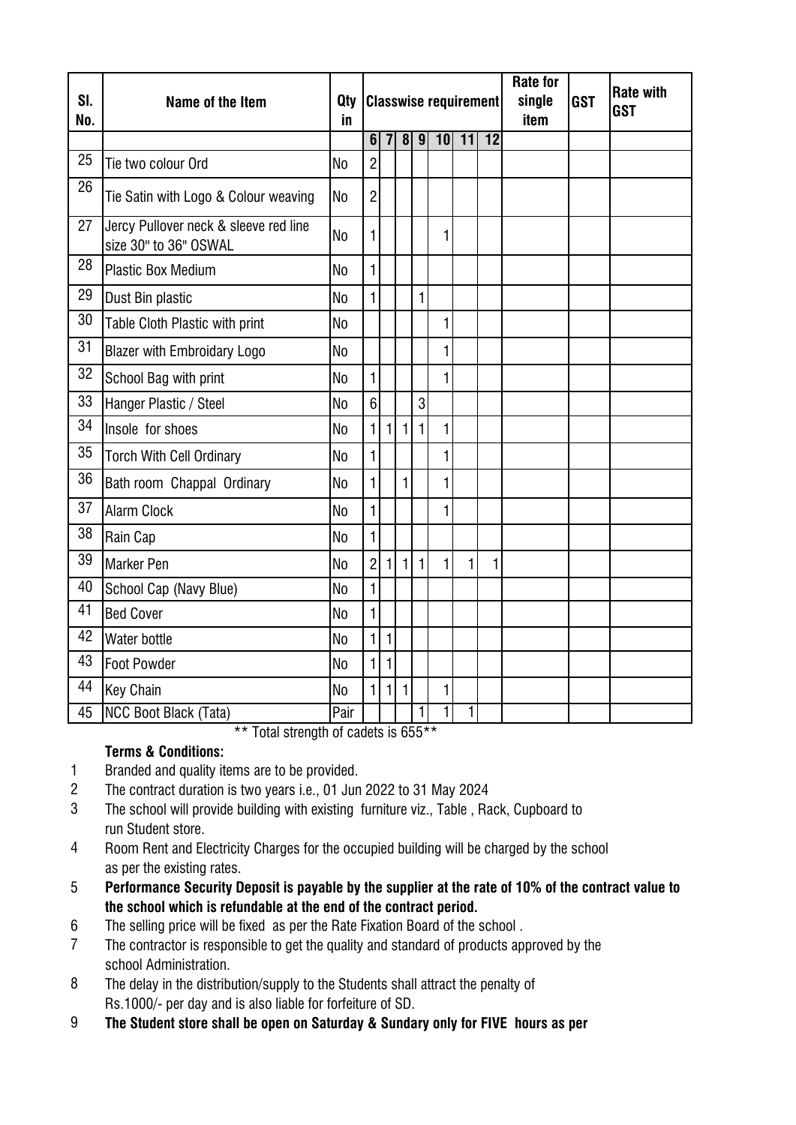|            |                                                                |                | <b>Classwise requirement</b> |                |                |              |    |                 |                 | <b>Rate for</b> |            | <b>Rate with</b> |
|------------|----------------------------------------------------------------|----------------|------------------------------|----------------|----------------|--------------|----|-----------------|-----------------|-----------------|------------|------------------|
| SI.<br>No. | Name of the Item                                               | Qty<br>in      |                              |                |                |              |    |                 |                 | single<br>item  | <b>GST</b> | <b>GST</b>       |
|            |                                                                |                | 6                            | $\overline{7}$ | $\overline{8}$ | 9            | 10 | $\overline{11}$ | $\overline{12}$ |                 |            |                  |
| 25         | Tie two colour Ord                                             | N <sub>0</sub> | $\overline{2}$               |                |                |              |    |                 |                 |                 |            |                  |
| 26         | Tie Satin with Logo & Colour weaving                           | <b>No</b>      | $\overline{2}$               |                |                |              |    |                 |                 |                 |            |                  |
| 27         | Jercy Pullover neck & sleeve red line<br>size 30" to 36" OSWAL | <b>No</b>      | $\mathbf{1}$                 |                |                |              | 1  |                 |                 |                 |            |                  |
| 28         | <b>Plastic Box Medium</b>                                      | No             | $\mathbf{1}$                 |                |                |              |    |                 |                 |                 |            |                  |
| 29         | Dust Bin plastic                                               | No             | $\mathbf{1}$                 |                |                | 1            |    |                 |                 |                 |            |                  |
| 30         | Table Cloth Plastic with print                                 | <b>No</b>      |                              |                |                |              | 1  |                 |                 |                 |            |                  |
| 31         | <b>Blazer with Embroidary Logo</b>                             | <b>No</b>      |                              |                |                |              | 1  |                 |                 |                 |            |                  |
| 32         | School Bag with print                                          | <b>No</b>      | $\mathbf{1}$                 |                |                |              | 1  |                 |                 |                 |            |                  |
| 33         | Hanger Plastic / Steel                                         | <b>No</b>      | 6 <sup>1</sup>               |                |                | 3            |    |                 |                 |                 |            |                  |
| 34         | Insole for shoes                                               | N <sub>o</sub> | $\mathbf{1}$                 | $\mathbf{1}$   | 1              | 1            | 1  |                 |                 |                 |            |                  |
| 35         | <b>Torch With Cell Ordinary</b>                                | <b>No</b>      | $\mathbf{1}$                 |                |                |              | 1  |                 |                 |                 |            |                  |
| 36         | Bath room Chappal Ordinary                                     | N <sub>0</sub> | $\mathbf{1}$                 |                | $\mathbf{1}$   |              | 1  |                 |                 |                 |            |                  |
| 37         | <b>Alarm Clock</b>                                             | No.            | $\mathbf{1}$                 |                |                |              | 1  |                 |                 |                 |            |                  |
| 38         | Rain Cap                                                       | N <sub>o</sub> | $\mathbf{1}$                 |                |                |              |    |                 |                 |                 |            |                  |
| 39         | <b>Marker Pen</b>                                              | N <sub>o</sub> | $\overline{2}$               | $\mathbf{1}$   | $\mathbf{1}$   | $\mathbf{1}$ | 1  | 1               | 1               |                 |            |                  |
| 40         | School Cap (Navy Blue)                                         | N <sub>0</sub> | $\mathbf{1}$                 |                |                |              |    |                 |                 |                 |            |                  |
| 41         | <b>Bed Cover</b>                                               | <b>No</b>      | $\mathbf{1}$                 |                |                |              |    |                 |                 |                 |            |                  |
| 42         | Water bottle                                                   | N <sub>0</sub> | 1                            | $\mathbf{1}$   |                |              |    |                 |                 |                 |            |                  |
| 43         | <b>Foot Powder</b>                                             | N <sub>0</sub> | $\mathbf{1}$                 | $\mathbf{1}$   |                |              |    |                 |                 |                 |            |                  |
| 44         | Key Chain                                                      | N <sub>0</sub> | $\mathbf{1}$                 | 1              | 1              |              | 1  |                 |                 |                 |            |                  |
| 45         | NCC Boot Black (Tata)                                          | Pair           |                              |                |                | 1            | 1  | 1               |                 |                 |            |                  |

\*\* Total strength of cadets is 655\*\*

## **Terms & Conditions:**

- 1 Branded and quality items are to be provided.
- 2 The contract duration is two years i.e., 01 Jun 2022 to 31 May 2024
- 3 The school will provide building with existing furniture viz., Table , Rack, Cupboard to run Student store.
- 4 Room Rent and Electricity Charges for the occupied building will be charged by the school as per the existing rates.
- 5 **Performance Security Deposit is payable by the supplier at the rate of 10% of the contract value to the school which is refundable at the end of the contract period.**
- 6 The selling price will be fixed as per the Rate Fixation Board of the school .
- 7 The contractor is responsible to get the quality and standard of products approved by the school Administration.
- 8 The delay in the distribution/supply to the Students shall attract the penalty of Rs.1000/- per day and is also liable for forfeiture of SD.
- 9 **The Student store shall be open on Saturday & Sundary only for FIVE hours as per**